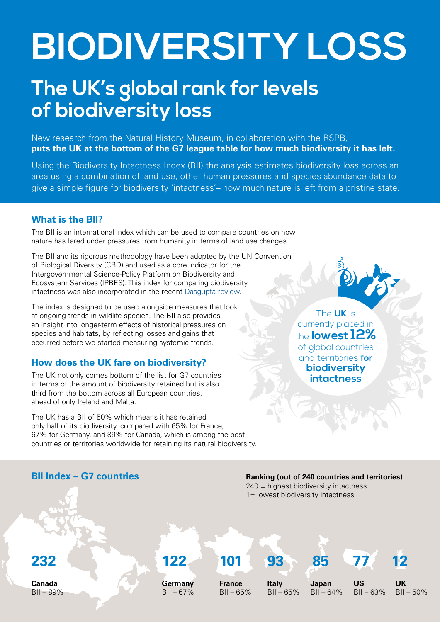# **BIODIVERSITY LOSS**

# **The UK's global rank for levels of biodiversity loss**

New research from the Natural History Museum, in collaboration with the RSPB, **puts the UK at the bottom of the G7 league table for how much biodiversity it has left.** 

Using the Biodiversity Intactness Index (BII) the analysis estimates biodiversity loss across an area using a combination of land use, other human pressures and species abundance data to give a simple figure for biodiversity 'intactness'– how much nature is left from a pristine state.

## **What is the BII?**

The BII is an international index which can be used to compare countries on how nature has fared under pressures from humanity in terms of land use changes.

The BII and its rigorous methodology have been adopted by the UN Convention of Biological Diversity (CBD) and used as a core indicator for the Intergovernmental Science-Policy Platform on Biodiversity and Ecosystem Services (IPBES). This index for comparing biodiversity intactness was also incorporated in the recent [Dasgupta review.](https://assets.publishing.service.gov.uk/government/uploads/system/uploads/attachment_data/file/962785/The_Economics_of_Biodiversity_The_Dasgupta_Review_Full_Report.pdf)

The index is designed to be used alongside measures that look at ongoing trends in wildlife species. The BII also provides an insight into longer-term effects of historical pressures on species and habitats, by reflecting losses and gains that occurred before we started measuring systemic trends.

# **How does the UK fare on biodiversity?**

The UK not only comes bottom of the list for G7 countries in terms of the amount of biodiversity retained but is also third from the bottom across all European countries, ahead of only Ireland and Malta.

The UK has a BII of 50% which means it has retained only half of its biodiversity, compared with 65% for France, 67% for Germany, and 89% for Canada, which is among the best countries or territories worldwide for retaining its natural biodiversity.

The **UK** is currently placed in the **lowest 12%** of global countries and territories **for biodiversity intactness**

### **BII Index – G7 countries**

**Ranking (out of 240 countries and territories)** 240 = highest biodiversity intactness

1= lowest biodiversity intactness

**232 122 101 93 85 77 12**

**Canada**  $BII - 89%$  **Germany**  $BII - 67%$  **France**  $BII - 65%$ 

**Italy**  $BII - 65%$  **Japan**  $BII - 64%$ 

**US**

 $BII - 63%$ **UK**  $BII - 50%$